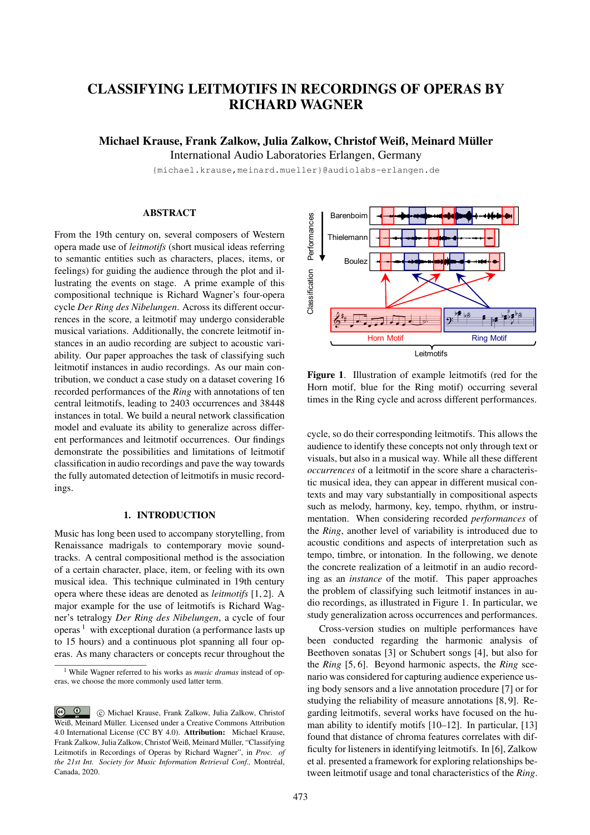# CLASSIFYING LEITMOTIFS IN RECORDINGS OF OPERAS BY RICHARD WAGNER

Michael Krause, Frank Zalkow, Julia Zalkow, Christof Weiß, Meinard Müller

International Audio Laboratories Erlangen, Germany

{michael.krause,meinard.mueller}@audiolabs-erlangen.de

# ABSTRACT

From the 19th century on, several composers of Western opera made use of *leitmotifs* (short musical ideas referring to semantic entities such as characters, places, items, or feelings) for guiding the audience through the plot and illustrating the events on stage. A prime example of this compositional technique is Richard Wagner's four-opera cycle *Der Ring des Nibelungen*. Across its different occurrences in the score, a leitmotif may undergo considerable musical variations. Additionally, the concrete leitmotif instances in an audio recording are subject to acoustic variability. Our paper approaches the task of classifying such leitmotif instances in audio recordings. As our main contribution, we conduct a case study on a dataset covering 16 recorded performances of the *Ring* with annotations of ten central leitmotifs, leading to 2403 occurrences and 38448 instances in total. We build a neural network classification model and evaluate its ability to generalize across different performances and leitmotif occurrences. Our findings demonstrate the possibilities and limitations of leitmotif classification in audio recordings and pave the way towards the fully automated detection of leitmotifs in music recordings.

## 1. INTRODUCTION

Music has long been used to accompany storytelling, from Renaissance madrigals to contemporary movie soundtracks. A central compositional method is the association of a certain character, place, item, or feeling with its own musical idea. This technique culminated in 19th century opera where these ideas are denoted as *leitmotifs* [1, 2]. A major example for the use of leitmotifs is Richard Wagner's tetralogy *Der Ring des Nibelungen*, a cycle of four operas  $\frac{1}{1}$  with exceptional duration (a performance lasts up to 15 hours) and a continuous plot spanning all four operas. As many characters or concepts recur throughout the



Figure 1. Illustration of example leitmotifs (red for the Horn motif, blue for the Ring motif) occurring several times in the Ring cycle and across different performances.

cycle, so do their corresponding leitmotifs. This allows the audience to identify these concepts not only through text or visuals, but also in a musical way. While all these different *occurrences* of a leitmotif in the score share a characteristic musical idea, they can appear in different musical contexts and may vary substantially in compositional aspects such as melody, harmony, key, tempo, rhythm, or instrumentation. When considering recorded *performances* of the *Ring*, another level of variability is introduced due to acoustic conditions and aspects of interpretation such as tempo, timbre, or intonation. In the following, we denote the concrete realization of a leitmotif in an audio recording as an *instance* of the motif. This paper approaches the problem of classifying such leitmotif instances in audio recordings, as illustrated in Figure 1. In particular, we study generalization across occurrences and performances.

Cross-version studies on multiple performances have been conducted regarding the harmonic analysis of Beethoven sonatas [3] or Schubert songs [4], but also for the *Ring* [5, 6]. Beyond harmonic aspects, the *Ring* scenario was considered for capturing audience experience using body sensors and a live annotation procedure [7] or for studying the reliability of measure annotations [8, 9]. Regarding leitmotifs, several works have focused on the human ability to identify motifs [10–12]. In particular, [13] found that distance of chroma features correlates with difficulty for listeners in identifying leitmotifs. In [6], Zalkow et al. presented a framework for exploring relationships between leitmotif usage and tonal characteristics of the *Ring*.

<sup>1</sup> While Wagner referred to his works as *music dramas* instead of operas, we choose the more commonly used latter term.

 $\boxed{\odot}$  c Michael Krause, Frank Zalkow, Julia Zalkow, Christof Weiß, Meinard Müller. Licensed under a Creative Commons Attribution 4.0 International License (CC BY 4.0). Attribution: Michael Krause, Frank Zalkow, Julia Zalkow, Christof Weiß, Meinard Müller, "Classifying Leitmotifs in Recordings of Operas by Richard Wagner", in *Proc. of the 21st Int. Society for Music Information Retrieval Conf.,* Montréal, Canada, 2020.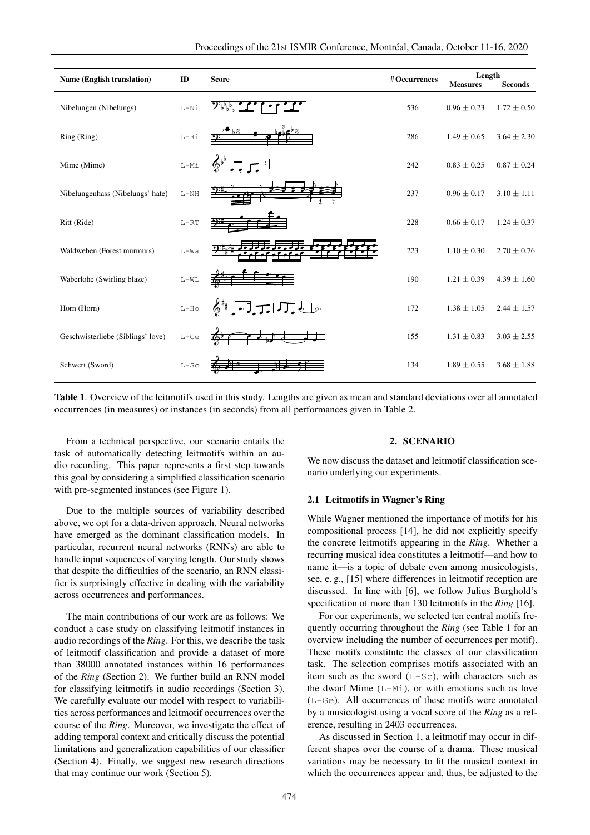| <b>Name (English translation)</b> | ID                   | <b>Score</b> | #Occurrences | Length<br><b>Measures</b> | <b>Seconds</b>  |
|-----------------------------------|----------------------|--------------|--------------|---------------------------|-----------------|
| Nibelungen (Nibelungs)            | $L-Ni$               |              | 536          | $0.96 \pm 0.23$           | $1.72 \pm 0.50$ |
| Ring (Ring)                       | $_{\rm L-Ri}$        |              | 286          | $1.49 \pm 0.65$           | $3.64 \pm 2.30$ |
| Mime (Mime)                       | $L-Mi$               |              | 242          | $0.83 \pm 0.25$           | $0.87 \pm 0.24$ |
| Nibelungenhass (Nibelungs' hate)  | $\mbox{L-NH}$        |              | 237          | $0.96 \pm 0.17$           | $3.10 \pm 1.11$ |
| Ritt (Ride)                       | $L-RT$               |              | 228          | $0.66 \pm 0.17$           | $1.24 \pm 0.37$ |
| Waldweben (Forest murmurs)        | $L-Wa$               |              | 223          | $1.10 \pm 0.30$           | $2.70 \pm 0.76$ |
| Waberlohe (Swirling blaze)        | $\mbox{L}-\mbox{WL}$ |              | 190          | $1.21 \pm 0.39$           | $4.39 \pm 1.60$ |
| Horn (Horn)                       | $L-HO$               |              | 172          | $1.38 \pm 1.05$           | $2.44 \pm 1.57$ |
| Geschwisterliebe (Siblings' love) | $_{\rm L-Ge}$        |              | 155          | $1.31 \pm 0.83$           | $3.03 \pm 2.55$ |
| Schwert (Sword)                   | $L-SC$               |              | 134          | $1.89 \pm 0.55$           | $3.68 \pm 1.88$ |

Table 1. Overview of the leitmotifs used in this study. Lengths are given as mean and standard deviations over all annotated occurrences (in measures) or instances (in seconds) from all performances given in Table 2.

From a technical perspective, our scenario entails the task of automatically detecting leitmotifs within an audio recording. This paper represents a first step towards this goal by considering a simplified classification scenario with pre-segmented instances (see Figure 1).

Due to the multiple sources of variability described above, we opt for a data-driven approach. Neural networks have emerged as the dominant classification models. In particular, recurrent neural networks (RNNs) are able to handle input sequences of varying length. Our study shows that despite the difficulties of the scenario, an RNN classifier is surprisingly effective in dealing with the variability across occurrences and performances.

The main contributions of our work are as follows: We conduct a case study on classifying leitmotif instances in audio recordings of the *Ring*. For this, we describe the task of leitmotif classification and provide a dataset of more than 38000 annotated instances within 16 performances of the *Ring* (Section 2). We further build an RNN model for classifying leitmotifs in audio recordings (Section 3). We carefully evaluate our model with respect to variabilities across performances and leitmotif occurrences over the course of the *Ring*. Moreover, we investigate the effect of adding temporal context and critically discuss the potential limitations and generalization capabilities of our classifier (Section 4). Finally, we suggest new research directions that may continue our work (Section 5).

## 2. SCENARIO

We now discuss the dataset and leitmotif classification scenario underlying our experiments.

#### 2.1 Leitmotifs in Wagner's Ring

While Wagner mentioned the importance of motifs for his compositional process [14], he did not explicitly specify the concrete leitmotifs appearing in the *Ring*. Whether a recurring musical idea constitutes a leitmotif—and how to name it—is a topic of debate even among musicologists, see, e. g., [15] where differences in leitmotif reception are discussed. In line with [6], we follow Julius Burghold's specification of more than 130 leitmotifs in the *Ring* [16].

For our experiments, we selected ten central motifs frequently occurring throughout the *Ring* (see Table 1 for an overview including the number of occurrences per motif). These motifs constitute the classes of our classification task. The selection comprises motifs associated with an item such as the sword  $(L-Sc)$ , with characters such as the dwarf Mime (L-Mi), or with emotions such as love (L-Ge). All occurrences of these motifs were annotated by a musicologist using a vocal score of the *Ring* as a reference, resulting in 2403 occurrences.

As discussed in Section 1, a leitmotif may occur in different shapes over the course of a drama. These musical variations may be necessary to fit the musical context in which the occurrences appear and, thus, be adjusted to the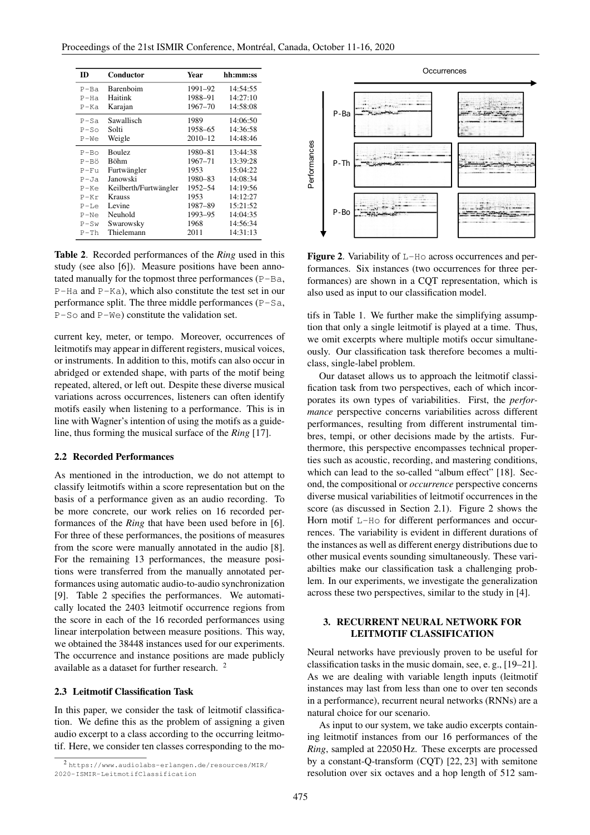| m        | Conductor             | Year        | hh:mm:ss |
|----------|-----------------------|-------------|----------|
| $P-Ba$   | Barenboim             | 1991-92     | 14:54:55 |
| P-Ha     | Haitink               | 1988-91     | 14:27:10 |
| P-Ka     | Karajan               | 1967-70     | 14:58:08 |
| $P-Sa$   | Sawallisch            | 1989        | 14:06:50 |
| $P-So$   | Solti                 | 1958-65     | 14:36:58 |
| $P-We$   | Weigle                | $2010 - 12$ | 14:48:46 |
| $P - Bo$ | Boulez                | 1980-81     | 13:44:38 |
| P-Bö     | <b>Böhm</b>           | 1967–71     | 13:39:28 |
| P-Fu     | Furtwängler           | 1953        | 15:04:22 |
| P-Ja     | Janowski              | 1980–83     | 14:08:34 |
| P-Ke     | Keilberth/Furtwängler | 1952–54     | 14:19:56 |
| $P-Kr$   | <b>Krauss</b>         | 1953        | 14:12:27 |
| $P-Le$   | Levine                | 1987–89     | 15:21:52 |
| $P-Ne$   | Neuhold               | 1993–95     | 14:04:35 |
| $P-Sw$   | Swarowsky             | 1968        | 14:56:34 |
| $P-Th$   | Thielemann            | 2011        | 14:31:13 |

Table 2. Recorded performances of the *Ring* used in this study (see also [6]). Measure positions have been annotated manually for the topmost three performances  $(P - Ba,$ P-Ha and P-Ka), which also constitute the test set in our performance split. The three middle performances (P-Sa,  $P-S$ o and  $P-W$ e) constitute the validation set.

current key, meter, or tempo. Moreover, occurrences of leitmotifs may appear in different registers, musical voices, or instruments. In addition to this, motifs can also occur in abridged or extended shape, with parts of the motif being repeated, altered, or left out. Despite these diverse musical variations across occurrences, listeners can often identify motifs easily when listening to a performance. This is in line with Wagner's intention of using the motifs as a guideline, thus forming the musical surface of the *Ring* [17].

## 2.2 Recorded Performances

As mentioned in the introduction, we do not attempt to classify leitmotifs within a score representation but on the basis of a performance given as an audio recording. To be more concrete, our work relies on 16 recorded performances of the *Ring* that have been used before in [6]. For three of these performances, the positions of measures from the score were manually annotated in the audio [8]. For the remaining 13 performances, the measure positions were transferred from the manually annotated performances using automatic audio-to-audio synchronization [9]. Table 2 specifies the performances. We automatically located the 2403 leitmotif occurrence regions from the score in each of the 16 recorded performances using linear interpolation between measure positions. This way, we obtained the 38448 instances used for our experiments. The occurrence and instance positions are made publicly available as a dataset for further research. <sup>2</sup>

## 2.3 Leitmotif Classification Task

In this paper, we consider the task of leitmotif classification. We define this as the problem of assigning a given audio excerpt to a class according to the occurring leitmotif. Here, we consider ten classes corresponding to the mo-



Figure 2. Variability of L-Ho across occurrences and performances. Six instances (two occurrences for three performances) are shown in a CQT representation, which is also used as input to our classification model.

tifs in Table 1. We further make the simplifying assumption that only a single leitmotif is played at a time. Thus, we omit excerpts where multiple motifs occur simultaneously. Our classification task therefore becomes a multiclass, single-label problem.

Our dataset allows us to approach the leitmotif classification task from two perspectives, each of which incorporates its own types of variabilities. First, the *performance* perspective concerns variabilities across different performances, resulting from different instrumental timbres, tempi, or other decisions made by the artists. Furthermore, this perspective encompasses technical properties such as acoustic, recording, and mastering conditions, which can lead to the so-called "album effect" [18]. Second, the compositional or *occurrence* perspective concerns diverse musical variabilities of leitmotif occurrences in the score (as discussed in Section 2.1). Figure 2 shows the Horn motif L-Ho for different performances and occurrences. The variability is evident in different durations of the instances as well as different energy distributions due to other musical events sounding simultaneously. These variabilties make our classification task a challenging problem. In our experiments, we investigate the generalization across these two perspectives, similar to the study in [4].

# 3. RECURRENT NEURAL NETWORK FOR LEITMOTIF CLASSIFICATION

Neural networks have previously proven to be useful for classification tasks in the music domain, see, e. g., [19–21]. As we are dealing with variable length inputs (leitmotif instances may last from less than one to over ten seconds in a performance), recurrent neural networks (RNNs) are a natural choice for our scenario.

As input to our system, we take audio excerpts containing leitmotif instances from our 16 performances of the *Ring*, sampled at 22050 Hz. These excerpts are processed by a constant-Q-transform (CQT) [22, 23] with semitone resolution over six octaves and a hop length of 512 sam-

<sup>2</sup> https://www.audiolabs-erlangen.de/resources/MIR/ 2020-ISMIR-LeitmotifClassification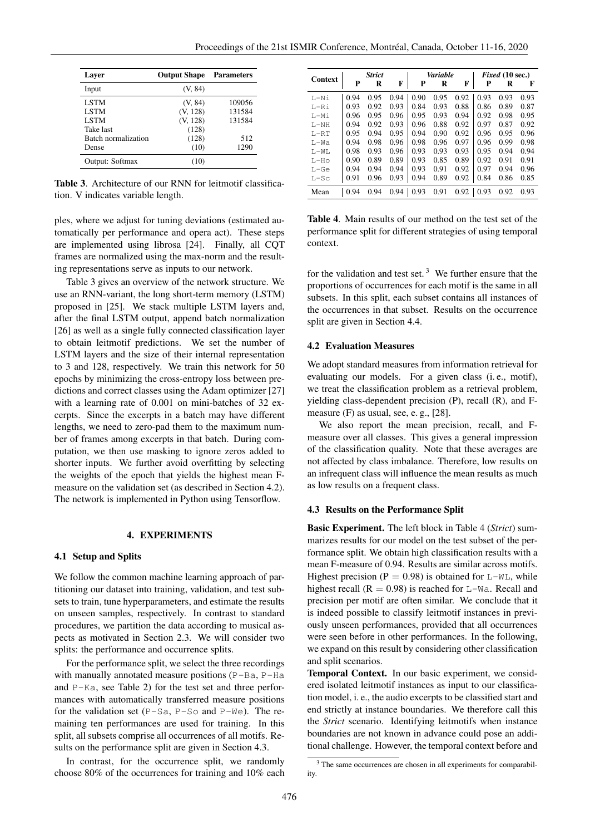| Laver               | <b>Output Shape</b> | <b>Parameters</b> |
|---------------------|---------------------|-------------------|
| Input               | (V, 84)             |                   |
| <b>LSTM</b>         | (V, 84)             | 109056            |
| <b>LSTM</b>         | (V, 128)            | 131584            |
| <b>LSTM</b>         | (V, 128)            | 131584            |
| Take last           | (128)               |                   |
| Batch normalization | (128)               | 512               |
| Dense               | (10)                | 1290              |
| Output: Softmax     | (10)                |                   |

Table 3. Architecture of our RNN for leitmotif classification. V indicates variable length.

ples, where we adjust for tuning deviations (estimated automatically per performance and opera act). These steps are implemented using librosa [24]. Finally, all CQT frames are normalized using the max-norm and the resulting representations serve as inputs to our network.

Table 3 gives an overview of the network structure. We use an RNN-variant, the long short-term memory (LSTM) proposed in [25]. We stack multiple LSTM layers and, after the final LSTM output, append batch normalization [26] as well as a single fully connected classification layer to obtain leitmotif predictions. We set the number of LSTM layers and the size of their internal representation to 3 and 128, respectively. We train this network for 50 epochs by minimizing the cross-entropy loss between predictions and correct classes using the Adam optimizer [27] with a learning rate of 0.001 on mini-batches of 32 excerpts. Since the excerpts in a batch may have different lengths, we need to zero-pad them to the maximum number of frames among excerpts in that batch. During computation, we then use masking to ignore zeros added to shorter inputs. We further avoid overfitting by selecting the weights of the epoch that yields the highest mean Fmeasure on the validation set (as described in Section 4.2). The network is implemented in Python using Tensorflow.

## 4. EXPERIMENTS

# 4.1 Setup and Splits

We follow the common machine learning approach of partitioning our dataset into training, validation, and test subsets to train, tune hyperparameters, and estimate the results on unseen samples, respectively. In contrast to standard procedures, we partition the data according to musical aspects as motivated in Section 2.3. We will consider two splits: the performance and occurrence splits.

For the performance split, we select the three recordings with manually annotated measure positions (P-Ba, P-Ha and P-Ka, see Table 2) for the test set and three performances with automatically transferred measure positions for the validation set  $(P-Sa, P-So$  and  $P-We$ ). The remaining ten performances are used for training. In this split, all subsets comprise all occurrences of all motifs. Results on the performance split are given in Section 4.3.

In contrast, for the occurrence split, we randomly choose 80% of the occurrences for training and 10% each

|                | <b>Strict</b> |      |      | Variable |      |      | <i>Fixed</i> $(10 \text{ sec.})$ |      |      |
|----------------|---------------|------|------|----------|------|------|----------------------------------|------|------|
| <b>Context</b> | P             | R    | F    | P        | R    | F    | P                                | R    | F    |
| $L-Ni$         | 0.94          | 0.95 | 0.94 | 0.90     | 0.95 | 0.92 | 0.93                             | 0.93 | 0.93 |
| $L-R1$         | 0.93          | 0.92 | 0.93 | 0.84     | 0.93 | 0.88 | 0.86                             | 0.89 | 0.87 |
| L-Mi           | 0.96          | 0.95 | 0.96 | 0.95     | 0.93 | 0.94 | 0.92                             | 0.98 | 0.95 |
| $T - NH$       | 0.94          | 0.92 | 0.93 | 0.96     | 0.88 | 0.92 | 0.97                             | 0.87 | 0.92 |
| $L-RT$         | 0.95          | 0.94 | 0.95 | 0.94     | 0.90 | 0.92 | 0.96                             | 0.95 | 0.96 |
| T – Wa         | 0.94          | 0.98 | 0.96 | 0.98     | 0.96 | 0.97 | 0.96                             | 0.99 | 0.98 |
| $L-WL$         | 0.98          | 0.93 | 0.96 | 0.93     | 0.93 | 0.93 | 0.95                             | 0.94 | 0.94 |
| $L-HO$         | 0.90          | 0.89 | 0.89 | 0.93     | 0.85 | 0.89 | 0.92                             | 0.91 | 0.91 |
| $L-Ge$         | 0.94          | 0.94 | 0.94 | 0.93     | 0.91 | 0.92 | 0.97                             | 0.94 | 0.96 |
| $L-Sc$         | 0.91          | 0.96 | 0.93 | 0.94     | 0.89 | 0.92 | 0.84                             | 0.86 | 0.85 |
| Mean           | 0.94          | 0.94 | 0.94 | 0.93     | 0.91 | 0.92 | 0.93                             | 0.92 | 0.93 |

Table 4. Main results of our method on the test set of the performance split for different strategies of using temporal context.

for the validation and test set.<sup>3</sup> We further ensure that the proportions of occurrences for each motif is the same in all subsets. In this split, each subset contains all instances of the occurrences in that subset. Results on the occurrence split are given in Section 4.4.

#### 4.2 Evaluation Measures

We adopt standard measures from information retrieval for evaluating our models. For a given class (i. e., motif), we treat the classification problem as a retrieval problem, yielding class-dependent precision (P), recall (R), and Fmeasure (F) as usual, see, e. g., [28].

We also report the mean precision, recall, and Fmeasure over all classes. This gives a general impression of the classification quality. Note that these averages are not affected by class imbalance. Therefore, low results on an infrequent class will influence the mean results as much as low results on a frequent class.

## 4.3 Results on the Performance Split

Basic Experiment. The left block in Table 4 (*Strict*) summarizes results for our model on the test subset of the performance split. We obtain high classification results with a mean F-measure of 0.94. Results are similar across motifs. Highest precision ( $P = 0.98$ ) is obtained for L-WL, while highest recall ( $R = 0.98$ ) is reached for L-Wa. Recall and precision per motif are often similar. We conclude that it is indeed possible to classify leitmotif instances in previously unseen performances, provided that all occurrences were seen before in other performances. In the following, we expand on this result by considering other classification and split scenarios.

Temporal Context. In our basic experiment, we considered isolated leitmotif instances as input to our classification model, i. e., the audio excerpts to be classified start and end strictly at instance boundaries. We therefore call this the *Strict* scenario. Identifying leitmotifs when instance boundaries are not known in advance could pose an additional challenge. However, the temporal context before and

<sup>&</sup>lt;sup>3</sup> The same occurrences are chosen in all experiments for comparability.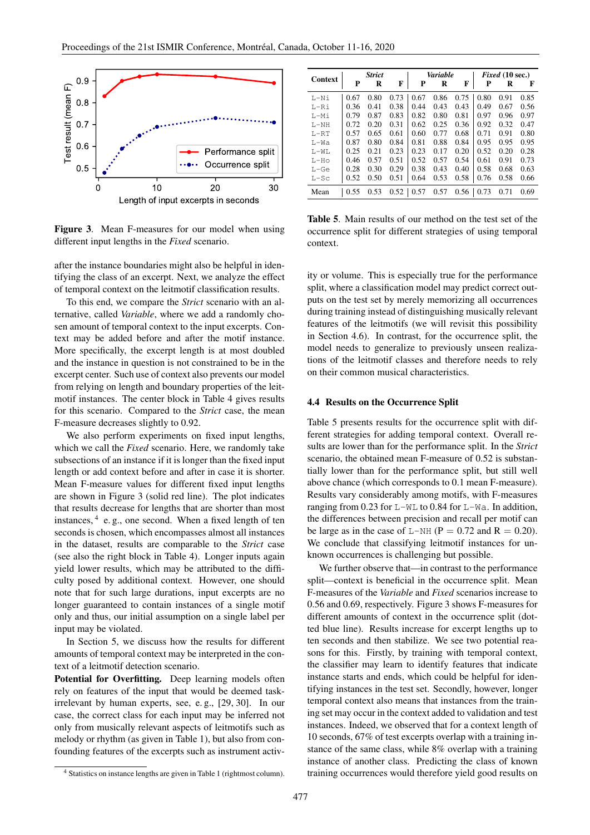

Figure 3. Mean F-measures for our model when using different input lengths in the *Fixed* scenario.

after the instance boundaries might also be helpful in identifying the class of an excerpt. Next, we analyze the effect of temporal context on the leitmotif classification results.

To this end, we compare the *Strict* scenario with an alternative, called *Variable*, where we add a randomly chosen amount of temporal context to the input excerpts. Context may be added before and after the motif instance. More specifically, the excerpt length is at most doubled and the instance in question is not constrained to be in the excerpt center. Such use of context also prevents our model from relying on length and boundary properties of the leitmotif instances. The center block in Table 4 gives results for this scenario. Compared to the *Strict* case, the mean F-measure decreases slightly to 0.92.

We also perform experiments on fixed input lengths, which we call the *Fixed* scenario. Here, we randomly take subsections of an instance if it is longer than the fixed input length or add context before and after in case it is shorter. Mean F-measure values for different fixed input lengths are shown in Figure 3 (solid red line). The plot indicates that results decrease for lengths that are shorter than most instances, <sup>4</sup> e.g., one second. When a fixed length of ten seconds is chosen, which encompasses almost all instances in the dataset, results are comparable to the *Strict* case (see also the right block in Table 4). Longer inputs again yield lower results, which may be attributed to the difficulty posed by additional context. However, one should note that for such large durations, input excerpts are no longer guaranteed to contain instances of a single motif only and thus, our initial assumption on a single label per input may be violated.

In Section 5, we discuss how the results for different amounts of temporal context may be interpreted in the context of a leitmotif detection scenario.

Potential for Overfitting. Deep learning models often rely on features of the input that would be deemed taskirrelevant by human experts, see, e. g., [29, 30]. In our case, the correct class for each input may be inferred not only from musically relevant aspects of leitmotifs such as melody or rhythm (as given in Table 1), but also from confounding features of the excerpts such as instrument activ-

| <b>Context</b> | <b>Strict</b> |      |      | <b>Variable</b> |      |      | Fixed (10 sec.) |      |      |
|----------------|---------------|------|------|-----------------|------|------|-----------------|------|------|
|                | P             | R    | F    | P               | R    | F    | Р               | R    | F    |
| L-Ni           | 0.67          | 0.80 | 0.73 | 0.67            | 0.86 | 0.75 | 0.80            | 0.91 | 0.85 |
| $L-Ri$         | 0.36          | 0.41 | 0.38 | 0.44            | 0.43 | 0.43 | 0.49            | 0.67 | 0.56 |
| $I - Mi$       | 0.79          | 0.87 | 0.83 | 0.82            | 0.80 | 0.81 | 0.97            | 0.96 | 0.97 |
| $L-NH$         | 0.72          | 0.20 | 0.31 | 0.62            | 0.25 | 0.36 | 0.92            | 0.32 | 0.47 |
| $L-RT$         | 0.57          | 0.65 | 0.61 | 0.60            | 0.77 | 0.68 | 0.71            | 0.91 | 0.80 |
| $L-Wa$         | 0.87          | 0.80 | 0.84 | 0.81            | 0.88 | 0.84 | 0.95            | 0.95 | 0.95 |
| $L-WL$         | 0.25          | 0.21 | 0.23 | 0.23            | 0.17 | 0.20 | 0.52            | 0.20 | 0.28 |
| $L-HO$         | 0.46          | 0.57 | 0.51 | 0.52            | 0.57 | 0.54 | 0.61            | 0.91 | 0.73 |
| $L-Ge$         | 0.28          | 0.30 | 0.29 | 0.38            | 0.43 | 0.40 | 0.58            | 0.68 | 0.63 |
| $L-Sc$         | 0.52          | 0.50 | 0.51 | 0.64            | 0.53 | 0.58 | 0.76            | 0.58 | 0.66 |
| Mean           | 0.55          | 0.53 | 0.52 | 0.57            | 0.57 | 0.56 | 0.73            | 0.71 | 0.69 |

Table 5. Main results of our method on the test set of the occurrence split for different strategies of using temporal context.

ity or volume. This is especially true for the performance split, where a classification model may predict correct outputs on the test set by merely memorizing all occurrences during training instead of distinguishing musically relevant features of the leitmotifs (we will revisit this possibility in Section 4.6). In contrast, for the occurrence split, the model needs to generalize to previously unseen realizations of the leitmotif classes and therefore needs to rely on their common musical characteristics.

## 4.4 Results on the Occurrence Split

Table 5 presents results for the occurrence split with different strategies for adding temporal context. Overall results are lower than for the performance split. In the *Strict* scenario, the obtained mean F-measure of 0.52 is substantially lower than for the performance split, but still well above chance (which corresponds to 0.1 mean F-measure). Results vary considerably among motifs, with F-measures ranging from 0.23 for  $L-WL$  to 0.84 for  $L-Wa$ . In addition, the differences between precision and recall per motif can be large as in the case of  $L-NH$  ( $P = 0.72$  and  $R = 0.20$ ). We conclude that classifying leitmotif instances for unknown occurrences is challenging but possible.

We further observe that—in contrast to the performance split—context is beneficial in the occurrence split. Mean F-measures of the *Variable* and *Fixed* scenarios increase to 0.56 and 0.69, respectively. Figure 3 shows F-measures for different amounts of context in the occurrence split (dotted blue line). Results increase for excerpt lengths up to ten seconds and then stabilize. We see two potential reasons for this. Firstly, by training with temporal context, the classifier may learn to identify features that indicate instance starts and ends, which could be helpful for identifying instances in the test set. Secondly, however, longer temporal context also means that instances from the training set may occur in the context added to validation and test instances. Indeed, we observed that for a context length of 10 seconds, 67% of test excerpts overlap with a training instance of the same class, while 8% overlap with a training instance of another class. Predicting the class of known training occurrences would therefore yield good results on

<sup>4</sup> Statistics on instance lengths are given in Table 1 (rightmost column).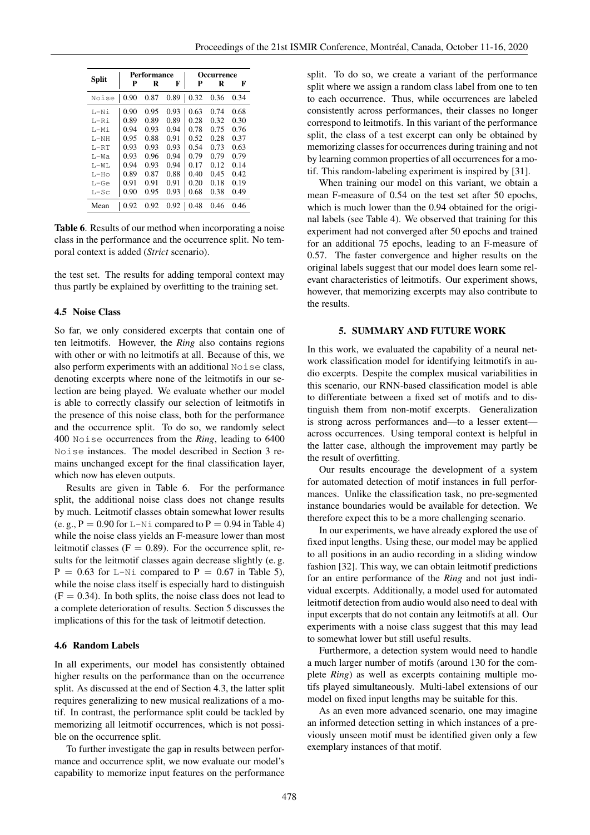|              |      | Performance |      | Occurrence |      |      |  |
|--------------|------|-------------|------|------------|------|------|--|
| <b>Split</b> | Р    | R           | F    | P          | R    | F    |  |
| Noise        | 0.90 | 0.87        | 0.89 | 0.32       | 0.36 | 0.34 |  |
| T.—Ni        | 0.90 | 0.95        | 0.93 | 0.63       | 0.74 | 0.68 |  |
| $L-R1$       | 0.89 | 0.89        | 0.89 | 0.28       | 0.32 | 0.30 |  |
| T.-Mi        | 0.94 | 0.93        | 0.94 | 0.78       | 0.75 | 0.76 |  |
| $T - NH$     | 0.95 | 0.88        | 0.91 | 0.52       | 0.28 | 0.37 |  |
| $L-RT$       | 0.93 | 0.93        | 0.93 | 0.54       | 0.73 | 0.63 |  |
| $T - Wa$     | 0.93 | 0.96        | 0.94 | 0.79       | 0.79 | 0.79 |  |
| $T - W$      | 0.94 | 0.93        | 0.94 | 0.17       | 0.12 | 0.14 |  |
| $L-HO$       | 0.89 | 0.87        | 0.88 | 0.40       | 0.45 | 0.42 |  |
| L-Ge         | 0.91 | 0.91        | 0.91 | 0.20       | 0.18 | 0.19 |  |
| $L-Sc$       | 0.90 | 0.95        | 0.93 | 0.68       | 0.38 | 0.49 |  |
| Mean         | 0.92 | 0.92        | 0.92 | 0.48       | 0.46 | 0.46 |  |

Table 6. Results of our method when incorporating a noise class in the performance and the occurrence split. No temporal context is added (*Strict* scenario).

the test set. The results for adding temporal context may thus partly be explained by overfitting to the training set.

## 4.5 Noise Class

So far, we only considered excerpts that contain one of ten leitmotifs. However, the *Ring* also contains regions with other or with no leitmotifs at all. Because of this, we also perform experiments with an additional Noise class, denoting excerpts where none of the leitmotifs in our selection are being played. We evaluate whether our model is able to correctly classify our selection of leitmotifs in the presence of this noise class, both for the performance and the occurrence split. To do so, we randomly select 400 Noise occurrences from the *Ring*, leading to 6400 Noise instances. The model described in Section 3 remains unchanged except for the final classification layer, which now has eleven outputs.

Results are given in Table 6. For the performance split, the additional noise class does not change results by much. Leitmotif classes obtain somewhat lower results (e. g.,  $P = 0.90$  for L-Ni compared to  $P = 0.94$  in Table 4) while the noise class yields an F-measure lower than most leitmotif classes ( $F = 0.89$ ). For the occurrence split, results for the leitmotif classes again decrease slightly (e. g.  $P = 0.63$  for L-Ni compared to  $P = 0.67$  in Table 5), while the noise class itself is especially hard to distinguish  $(F = 0.34)$ . In both splits, the noise class does not lead to a complete deterioration of results. Section 5 discusses the implications of this for the task of leitmotif detection.

# 4.6 Random Labels

In all experiments, our model has consistently obtained higher results on the performance than on the occurrence split. As discussed at the end of Section 4.3, the latter split requires generalizing to new musical realizations of a motif. In contrast, the performance split could be tackled by memorizing all leitmotif occurrences, which is not possible on the occurrence split.

To further investigate the gap in results between performance and occurrence split, we now evaluate our model's capability to memorize input features on the performance split. To do so, we create a variant of the performance split where we assign a random class label from one to ten to each occurrence. Thus, while occurrences are labeled consistently across performances, their classes no longer correspond to leitmotifs. In this variant of the performance split, the class of a test excerpt can only be obtained by memorizing classes for occurrences during training and not by learning common properties of all occurrences for a motif. This random-labeling experiment is inspired by [31].

When training our model on this variant, we obtain a mean F-measure of 0.54 on the test set after 50 epochs, which is much lower than the 0.94 obtained for the original labels (see Table 4). We observed that training for this experiment had not converged after 50 epochs and trained for an additional 75 epochs, leading to an F-measure of 0.57. The faster convergence and higher results on the original labels suggest that our model does learn some relevant characteristics of leitmotifs. Our experiment shows, however, that memorizing excerpts may also contribute to the results.

# 5. SUMMARY AND FUTURE WORK

In this work, we evaluated the capability of a neural network classification model for identifying leitmotifs in audio excerpts. Despite the complex musical variabilities in this scenario, our RNN-based classification model is able to differentiate between a fixed set of motifs and to distinguish them from non-motif excerpts. Generalization is strong across performances and—to a lesser extent across occurrences. Using temporal context is helpful in the latter case, although the improvement may partly be the result of overfitting.

Our results encourage the development of a system for automated detection of motif instances in full performances. Unlike the classification task, no pre-segmented instance boundaries would be available for detection. We therefore expect this to be a more challenging scenario.

In our experiments, we have already explored the use of fixed input lengths. Using these, our model may be applied to all positions in an audio recording in a sliding window fashion [32]. This way, we can obtain leitmotif predictions for an entire performance of the *Ring* and not just individual excerpts. Additionally, a model used for automated leitmotif detection from audio would also need to deal with input excerpts that do not contain any leitmotifs at all. Our experiments with a noise class suggest that this may lead to somewhat lower but still useful results.

Furthermore, a detection system would need to handle a much larger number of motifs (around 130 for the complete *Ring*) as well as excerpts containing multiple motifs played simultaneously. Multi-label extensions of our model on fixed input lengths may be suitable for this.

As an even more advanced scenario, one may imagine an informed detection setting in which instances of a previously unseen motif must be identified given only a few exemplary instances of that motif.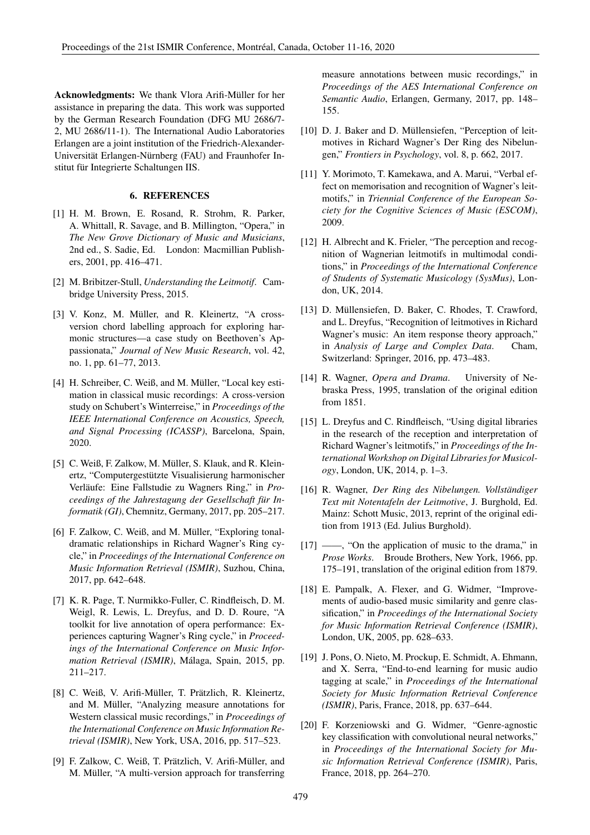Acknowledgments: We thank Vlora Arifi-Müller for her assistance in preparing the data. This work was supported by the German Research Foundation (DFG MU 2686/7- 2, MU 2686/11-1). The International Audio Laboratories Erlangen are a joint institution of the Friedrich-Alexander-Universität Erlangen-Nürnberg (FAU) and Fraunhofer Institut für Integrierte Schaltungen IIS.

# 6. REFERENCES

- [1] H. M. Brown, E. Rosand, R. Strohm, R. Parker, A. Whittall, R. Savage, and B. Millington, "Opera," in *The New Grove Dictionary of Music and Musicians*, 2nd ed., S. Sadie, Ed. London: Macmillian Publishers, 2001, pp. 416–471.
- [2] M. Bribitzer-Stull, *Understanding the Leitmotif*. Cambridge University Press, 2015.
- [3] V. Konz, M. Müller, and R. Kleinertz, "A crossversion chord labelling approach for exploring harmonic structures—a case study on Beethoven's Appassionata," *Journal of New Music Research*, vol. 42, no. 1, pp. 61–77, 2013.
- [4] H. Schreiber, C. Weiß, and M. Müller, "Local key estimation in classical music recordings: A cross-version study on Schubert's Winterreise," in *Proceedings of the IEEE International Conference on Acoustics, Speech, and Signal Processing (ICASSP)*, Barcelona, Spain, 2020.
- [5] C. Weiß, F. Zalkow, M. Müller, S. Klauk, and R. Kleinertz, "Computergestützte Visualisierung harmonischer Verläufe: Eine Fallstudie zu Wagners Ring," in *Proceedings of the Jahrestagung der Gesellschaft für Informatik (GI)*, Chemnitz, Germany, 2017, pp. 205–217.
- [6] F. Zalkow, C. Weiß, and M. Müller, "Exploring tonaldramatic relationships in Richard Wagner's Ring cycle," in *Proceedings of the International Conference on Music Information Retrieval (ISMIR)*, Suzhou, China, 2017, pp. 642–648.
- [7] K. R. Page, T. Nurmikko-Fuller, C. Rindfleisch, D. M. Weigl, R. Lewis, L. Dreyfus, and D. D. Roure, "A toolkit for live annotation of opera performance: Experiences capturing Wagner's Ring cycle," in *Proceedings of the International Conference on Music Information Retrieval (ISMIR)*, Málaga, Spain, 2015, pp. 211–217.
- [8] C. Weiß, V. Arifi-Müller, T. Prätzlich, R. Kleinertz, and M. Müller, "Analyzing measure annotations for Western classical music recordings," in *Proceedings of the International Conference on Music Information Retrieval (ISMIR)*, New York, USA, 2016, pp. 517–523.
- [9] F. Zalkow, C. Weiß, T. Prätzlich, V. Arifi-Müller, and M. Müller, "A multi-version approach for transferring

measure annotations between music recordings," in *Proceedings of the AES International Conference on Semantic Audio*, Erlangen, Germany, 2017, pp. 148– 155.

- [10] D. J. Baker and D. Müllensiefen, "Perception of leitmotives in Richard Wagner's Der Ring des Nibelungen," *Frontiers in Psychology*, vol. 8, p. 662, 2017.
- [11] Y. Morimoto, T. Kamekawa, and A. Marui, "Verbal effect on memorisation and recognition of Wagner's leitmotifs," in *Triennial Conference of the European Society for the Cognitive Sciences of Music (ESCOM)*, 2009.
- [12] H. Albrecht and K. Frieler, "The perception and recognition of Wagnerian leitmotifs in multimodal conditions," in *Proceedings of the International Conference of Students of Systematic Musicology (SysMus)*, London, UK, 2014.
- [13] D. Müllensiefen, D. Baker, C. Rhodes, T. Crawford, and L. Dreyfus, "Recognition of leitmotives in Richard Wagner's music: An item response theory approach," in *Analysis of Large and Complex Data*. Cham, Switzerland: Springer, 2016, pp. 473–483.
- [14] R. Wagner, *Opera and Drama*. University of Nebraska Press, 1995, translation of the original edition from 1851.
- [15] L. Dreyfus and C. Rindfleisch, "Using digital libraries in the research of the reception and interpretation of Richard Wagner's leitmotifs," in *Proceedings of the International Workshop on Digital Libraries for Musicology*, London, UK, 2014, p. 1–3.
- [16] R. Wagner, *Der Ring des Nibelungen. Vollständiger Text mit Notentafeln der Leitmotive*, J. Burghold, Ed. Mainz: Schott Music, 2013, reprint of the original edition from 1913 (Ed. Julius Burghold).
- [17] ——, "On the application of music to the drama," in *Prose Works*. Broude Brothers, New York, 1966, pp. 175–191, translation of the original edition from 1879.
- [18] E. Pampalk, A. Flexer, and G. Widmer, "Improvements of audio-based music similarity and genre classification," in *Proceedings of the International Society for Music Information Retrieval Conference (ISMIR)*, London, UK, 2005, pp. 628–633.
- [19] J. Pons, O. Nieto, M. Prockup, E. Schmidt, A. Ehmann, and X. Serra, "End-to-end learning for music audio tagging at scale," in *Proceedings of the International Society for Music Information Retrieval Conference (ISMIR)*, Paris, France, 2018, pp. 637–644.
- [20] F. Korzeniowski and G. Widmer, "Genre-agnostic key classification with convolutional neural networks," in *Proceedings of the International Society for Music Information Retrieval Conference (ISMIR)*, Paris, France, 2018, pp. 264–270.